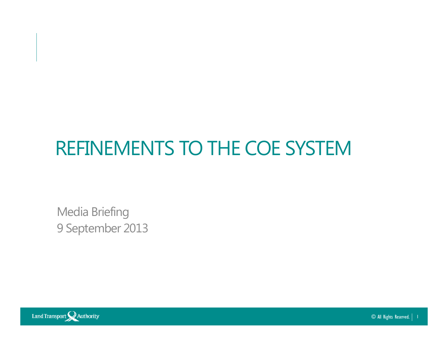### REFINEMENTS TO THE COE SYSTEM

Media Briefing9 September 2013



© All Rights Reserved.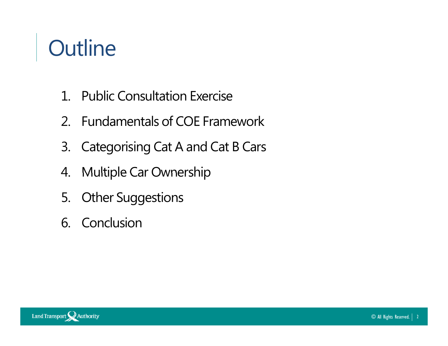# **Outline**

- 1. Public Consultation Exercise
- 2. Fundamentals of COE Framework
- 3. Categorising Cat A and Cat B Cars
- 4.Multiple Car Ownership
- 5. Other Suggestions
- 6. Conclusion

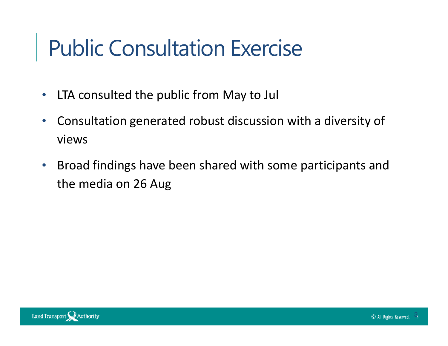### Public Consultation Exercise

- $\bullet$ LTA consulted the public from May to Jul
- $\bullet$  Consultation generated robust discussion with a diversity of views
- $\bullet$  Broad findings have been shared with some participants and the media on 26 Aug

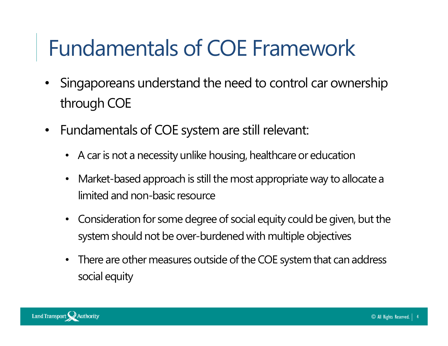### Fundamentals of COE Framework

- $\bullet$  Singaporeans understand the need to control car ownership through COE
- $\bullet$  Fundamentals of COE system are still relevant:
	- A car is not a necessity unlike housing, healthcare or education
	- $\bullet$ • Market-based approach is still the most appropriate way to allocate a<br>limited and non-basic resource
	- Consideration for some degree of social equity could be given, but the system should not be over-burdened with multiple objectives
	- There are other measures outside of the COE system that can address social equity

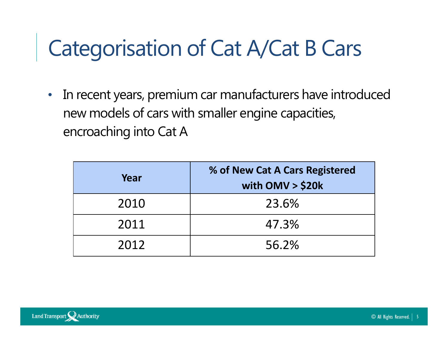$\bullet$  In recent years, premium car manufacturers have introduced new models of cars with smaller engine capacities, encroaching into Cat A

| Year | % of New Cat A Cars Registered<br>with $OMV > $20k$ |  |  |
|------|-----------------------------------------------------|--|--|
| 2010 | 23.6%                                               |  |  |
| 2011 | 47.3%                                               |  |  |
| 2012 | 56.2%                                               |  |  |

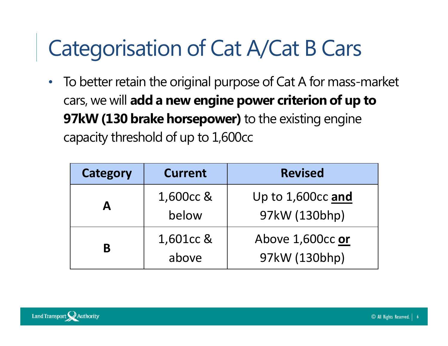$\bullet$  To better retain the original purpose of Cat A for mass-market cars, we will add a new engine power criterion of up to 97kW (130 brake horsepower) to the existing engine capacity threshold of up to 1,600cc

| <b>Category</b><br><b>Current</b> |                    | <b>Revised</b>                     |  |  |
|-----------------------------------|--------------------|------------------------------------|--|--|
| A                                 | 1,600cc &<br>below | Up to 1,600cc and<br>97kW (130bhp) |  |  |
| B                                 | 1,601cc &<br>above | Above 1,600cc or<br>97kW (130bhp)  |  |  |

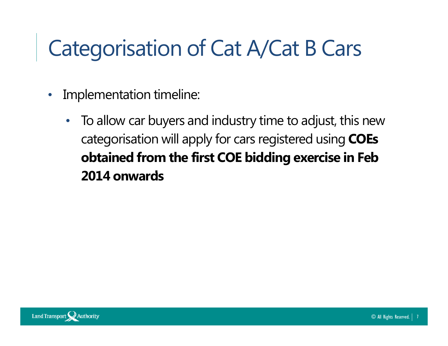- $\bullet$  Implementation timeline:
	- • To allow car buyers and industry time to adjust, this new categorisation will apply for cars registered using **COEs** obtained from the first COE bidding exercise in Feb2014 onwards

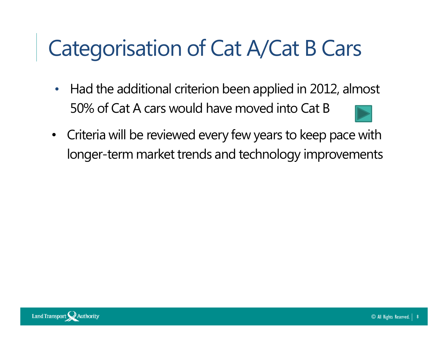- $\bullet$  Had the additional criterion been applied in 2012, almost 50% of Cat A cars would have moved into Cat B
- Criteria will be reviewed every few years to keep pace with longer-term market trends and technology improvements

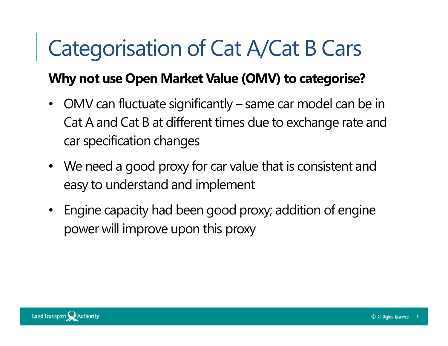#### Why not use Open Market Value (OMV) to categorise?

- $\bullet$  OMV can fluctuate significantly – same car model can be in Cat A and Cat B at different times due to exchange rate and car specification changes
- We need a good proxy for car value that is consistent and easy to understand and implement
- Engine capacity had been good proxy; addition of engine power will improve upon this proxy

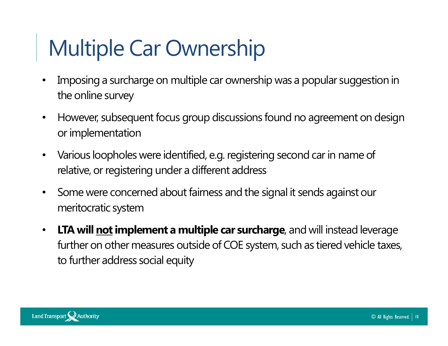# Multiple Car Ownership

- • Imposing a surcharge on multiple car ownership was a popular suggestion in the online survey
- • However, subsequent focus group discussions found no agreement on design or implementation
- $\bullet$  Various loopholes were identified, e.g. registering second car in name of relative, or registering under a different address
- $\bullet$  Some were concerned about fairness and the signal it sends against our meritocratic system
- $\bullet$ LTA will not implement a multiple car surcharge, and will instead leverage further on other measures outside of COE system, such as tiered vehicle taxes, to further address social equity

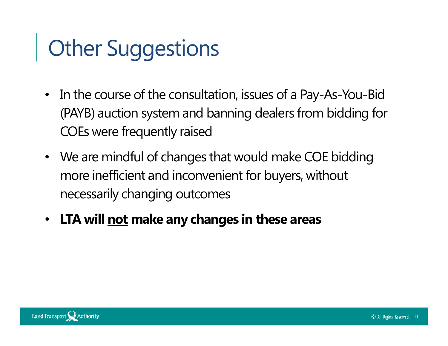### **Other Suggestions**

- In the course of the consultation, issues of a Pay-As-You-Bid (PAYB) auction system and banning dealers from bidding for COEs were frequently raised
- We are mindful of changes that would make COE bidding more inefficient and inconvenient for buyers, without necessarily changing outcomes
- LTA will <u>not</u> make any changes in these areas

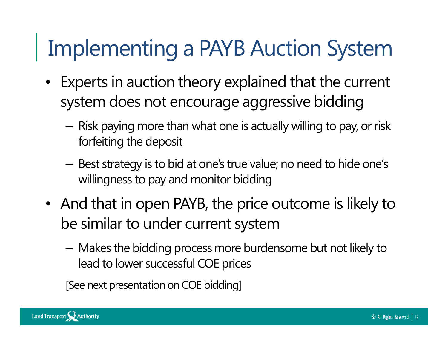### Implementing a PAYB Auction System

- Experts in auction theory explained that the current system does not encourage aggressive bidding
	- Risk paying more than what one is actually willing to pay, or risk forfeiting the deposit
	- Best strategy is to bid at one's true value; no need to hide one's willingness to pay and monitor bidding
- And that in open PAYB, the price outcome is likely to be similar to under current system
	- Makes the bidding process more burdensome but not likely to lead to lower successful COE prices

[See next presentation on COE bidding]

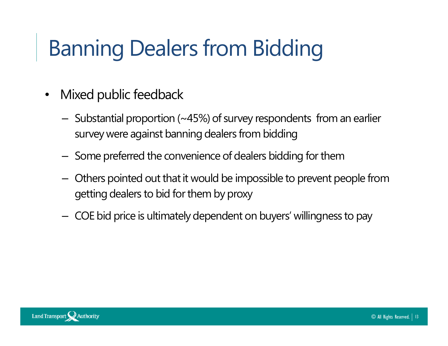### Banning Dealers from Bidding

- • Mixed public feedback
	- $-$  Substantial proportion (~45%) of survey respondents from an earlier survey were against banning dealers from bidding
	- $-$  Some preferred the convenience of dealers bidding for them
	- Others pointed out that it would be impossible to prevent people from getting dealers to bid for them by proxy
	- $-$  COE bid price is ultimately dependent on buyers' willingness to pay

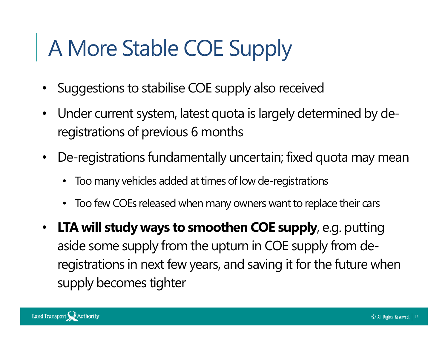# A More Stable COE Supply

- •Suggestions to stabilise COE supply also received
- • Under current system, latest quota is largely determined by deregistrations of previous 6 months
- De-registrations fundamentally uncertain; fixed quota may mean
	- •Too many vehicles added at times of low de-registrations
	- $\bullet$ Too few COEs released when many owners want to replace their cars
- LTA will study ways to smoothen COE supply, e.g. putting aside some supply from the upturn in COE supply from deregistrations in next few years, and saving it for the future when supply becomes tighter

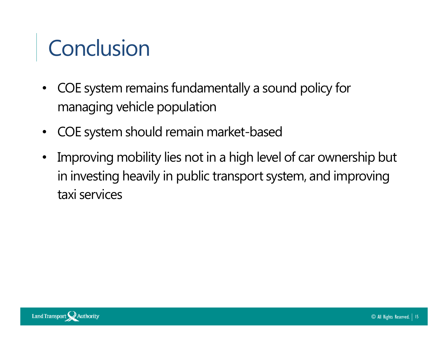### **Conclusion**

- $\bullet$  COE system remains fundamentally a sound policy for managing vehicle population
- •COE system should remain market-based
- Improving mobility lies not in a high level of car ownership but in investing heavily in public transport system, and improving taxi services

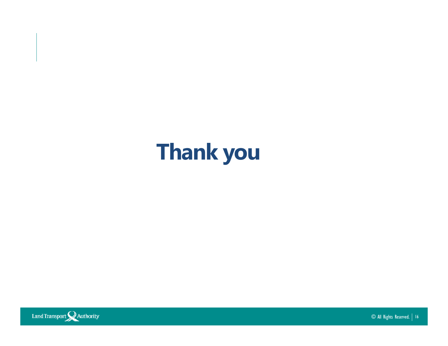



© All Rights Reserved. <sup>16</sup>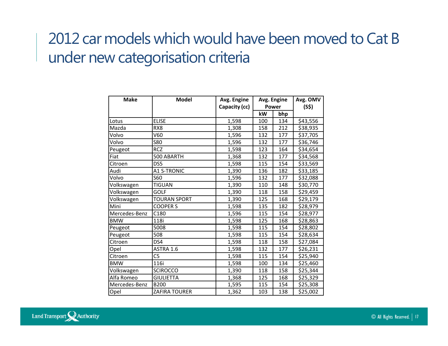### 2012 car models which would have been moved to Cat B under new categorisation criteria

| <b>Make</b>   | <b>Model</b>        | Avg. Engine   | Avg. Engine |     | Avg. OMV |
|---------------|---------------------|---------------|-------------|-----|----------|
|               |                     | Capacity (cc) | Power       |     | (S\$)    |
|               |                     |               | kW          | bhp |          |
| Lotus         | <b>ELISE</b>        | 1,598         | 100         | 134 | \$43,556 |
| Mazda         | RX <sub>8</sub>     | 1,308         | 158         | 212 | \$38,935 |
| Volvo         | V60                 | 1,596         | 132         | 177 | \$37,705 |
| Volvo         | <b>S80</b>          | 1,596         | 132         | 177 | \$36,746 |
| Peugeot       | <b>RCZ</b>          | 1,598         | 123         | 164 | \$34,654 |
| Fiat          | 500 ABARTH          | 1,368         | 132         | 177 | \$34,568 |
| Citroen       | DS5                 | 1,598         | 115         | 154 | \$33,569 |
| Audi          | <b>A1 S-TRONIC</b>  | 1,390         | 136         | 182 | \$33,185 |
| Volvo         | S60                 | 1,596         | 132         | 177 | \$32,088 |
| Volkswagen    | <b>TIGUAN</b>       | 1,390         | 110         | 148 | \$30,770 |
| Volkswagen    | GOLF                | 1,390         | 118         | 158 | \$29,459 |
| Volkswagen    | <b>TOURAN SPORT</b> | 1,390         | 125         | 168 | \$29,179 |
| Mini          | <b>COOPER S</b>     | 1,598         | 135         | 182 | \$28,979 |
| Mercedes-Benz | C180                | 1,596         | 115         | 154 | \$28,977 |
| <b>BMW</b>    | 118i                | 1,598         | 125         | 168 | \$28,863 |
| Peugeot       | 5008                | 1,598         | 115         | 154 | \$28,802 |
| Peugeot       | 508                 | 1,598         | 115         | 154 | \$28,634 |
| Citroen       | DS4                 | 1,598         | 118         | 158 | \$27,084 |
| Opel          | ASTRA 1.6           | 1,598         | 132         | 177 | \$26,231 |
| Citroen       | C <sub>5</sub>      | 1,598         | 115         | 154 | \$25,940 |
| <b>BMW</b>    | 116i                | 1,598         | 100         | 134 | \$25,460 |
| Volkswagen    | <b>SCIROCCO</b>     | 1,390         | 118         | 158 | \$25,344 |
| Alfa Romeo    | <b>GIULIETTA</b>    | 1,368         | 125         | 168 | \$25,329 |
| Mercedes-Benz | <b>B200</b>         | 1,595         | 115         | 154 | \$25,308 |
| Opel          | ZAFIRA TOURER       | 1,362         | 103         | 138 | \$25,002 |